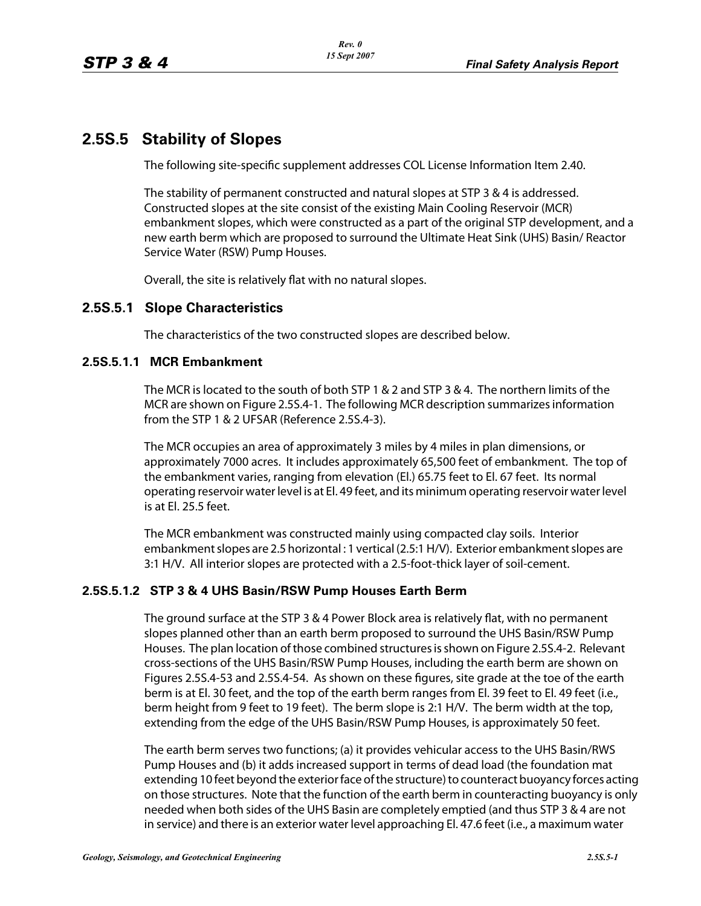# **2.5S.5 Stability of Slopes**

The following site-specific supplement addresses COL License Information Item 2.40.

The stability of permanent constructed and natural slopes at STP 3 & 4 is addressed. Constructed slopes at the site consist of the existing Main Cooling Reservoir (MCR) embankment slopes, which were constructed as a part of the original STP development, and a new earth berm which are proposed to surround the Ultimate Heat Sink (UHS) Basin/ Reactor Service Water (RSW) Pump Houses.

Overall, the site is relatively flat with no natural slopes.

## **2.5S.5.1 Slope Characteristics**

The characteristics of the two constructed slopes are described below.

#### **2.5S.5.1.1 MCR Embankment**

The MCR islocated to the south of both STP 1 & 2 and STP 3 & 4. The northern limits of the MCR are shown on Figure 2.5S.4-1. The following MCR description summarizes information from the STP 1 & 2 UFSAR (Reference 2.5S.4-3).

The MCR occupies an area of approximately 3 miles by 4 miles in plan dimensions, or approximately 7000 acres. It includes approximately 65,500 feet of embankment. The top of the embankment varies, ranging from elevation (El.) 65.75 feet to El. 67 feet. Its normal operating reservoir waterlevel is at El. 49 feet, and its minimum operating reservoir waterlevel is at El. 25.5 feet.

The MCR embankment was constructed mainly using compacted clay soils. Interior embankment slopes are 2.5 horizontal : 1 vertical (2.5:1 H/V). Exterior embankment slopes are 3:1 H/V. All interior slopes are protected with a 2.5-foot-thick layer of soil-cement.

## **2.5S.5.1.2 STP 3 & 4 UHS Basin/RSW Pump Houses Earth Berm**

The ground surface at the STP 3 & 4 Power Block area is relatively flat, with no permanent slopes planned other than an earth berm proposed to surround the UHS Basin/RSW Pump Houses. The plan location of those combined structures is shown on Figure 2.5S.4-2. Relevant cross-sections of the UHS Basin/RSW Pump Houses, including the earth berm are shown on Figures 2.5S.4-53 and 2.5S.4-54. As shown on these figures, site grade at the toe of the earth berm is at El. 30 feet, and the top of the earth berm ranges from El. 39 feet to El. 49 feet (i.e., berm height from 9 feet to 19 feet). The berm slope is 2:1 H/V. The berm width at the top, extending from the edge of the UHS Basin/RSW Pump Houses, is approximately 50 feet.

The earth berm serves two functions; (a) it provides vehicular access to the UHS Basin/RWS Pump Houses and (b) it addsincreased support in terms of dead load (the foundation mat extending 10 feet beyond the exterior face of the structure) to counteract buoyancy forces acting on those structures. Note that the function of the earth berm in counteracting buoyancy is only needed when both sides of the UHS Basin are completely emptied (and thus STP 3 & 4 are not in service) and there is an exterior water level approaching El. 47.6 feet (i.e., a maximum water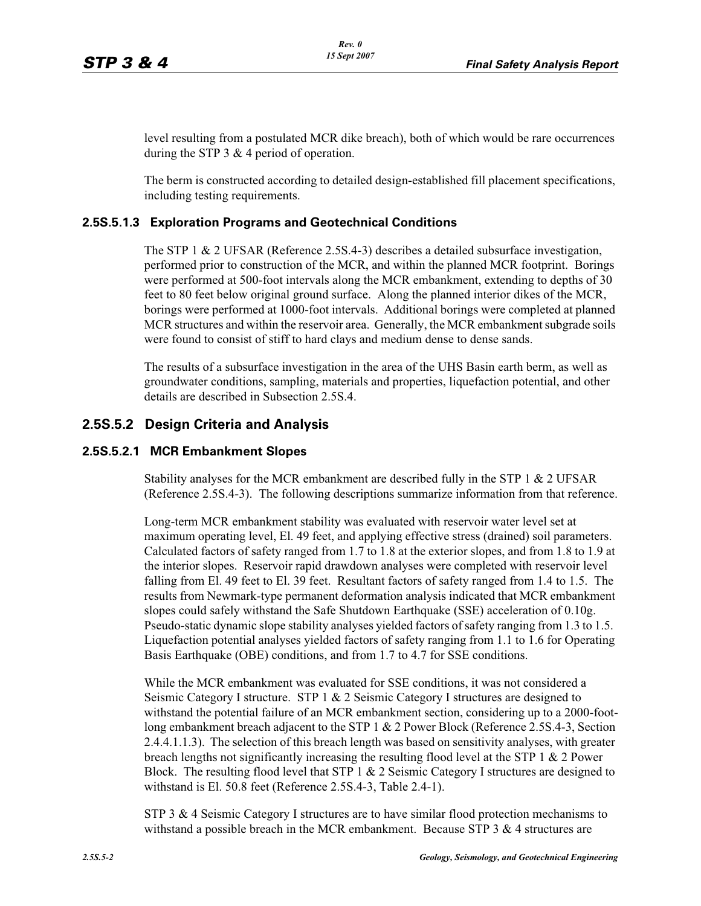level resulting from a postulated MCR dike breach), both of which would be rare occurrences during the STP 3 & 4 period of operation.

The berm is constructed according to detailed design-established fill placement specifications, including testing requirements.

#### **2.5S.5.1.3 Exploration Programs and Geotechnical Conditions**

The STP 1 & 2 UFSAR (Reference 2.5S.4-3) describes a detailed subsurface investigation, performed prior to construction of the MCR, and within the planned MCR footprint. Borings were performed at 500-foot intervals along the MCR embankment, extending to depths of 30 feet to 80 feet below original ground surface. Along the planned interior dikes of the MCR, borings were performed at 1000-foot intervals. Additional borings were completed at planned MCR structures and within the reservoir area. Generally, the MCR embankment subgrade soils were found to consist of stiff to hard clays and medium dense to dense sands.

The results of a subsurface investigation in the area of the UHS Basin earth berm, as well as groundwater conditions, sampling, materials and properties, liquefaction potential, and other details are described in Subsection 2.5S.4.

## **2.5S.5.2 Design Criteria and Analysis**

#### **2.5S.5.2.1 MCR Embankment Slopes**

Stability analyses for the MCR embankment are described fully in the STP 1 & 2 UFSAR (Reference 2.5S.4-3). The following descriptions summarize information from that reference.

Long-term MCR embankment stability was evaluated with reservoir water level set at maximum operating level, El. 49 feet, and applying effective stress (drained) soil parameters. Calculated factors of safety ranged from 1.7 to 1.8 at the exterior slopes, and from 1.8 to 1.9 at the interior slopes. Reservoir rapid drawdown analyses were completed with reservoir level falling from El. 49 feet to El. 39 feet. Resultant factors of safety ranged from 1.4 to 1.5. The results from Newmark-type permanent deformation analysis indicated that MCR embankment slopes could safely withstand the Safe Shutdown Earthquake (SSE) acceleration of 0.10g. Pseudo-static dynamic slope stability analyses yielded factors of safety ranging from 1.3 to 1.5. Liquefaction potential analyses yielded factors of safety ranging from 1.1 to 1.6 for Operating Basis Earthquake (OBE) conditions, and from 1.7 to 4.7 for SSE conditions.

While the MCR embankment was evaluated for SSE conditions, it was not considered a Seismic Category I structure. STP 1 & 2 Seismic Category I structures are designed to withstand the potential failure of an MCR embankment section, considering up to a 2000-footlong embankment breach adjacent to the STP 1 & 2 Power Block (Reference 2.5S.4-3, Section 2.4.4.1.1.3). The selection of this breach length was based on sensitivity analyses, with greater breach lengths not significantly increasing the resulting flood level at the STP 1  $\&$  2 Power Block. The resulting flood level that STP  $1 \& 2$  Seismic Category I structures are designed to withstand is El. 50.8 feet (Reference 2.5S.4-3, Table 2.4-1).

STP 3 & 4 Seismic Category I structures are to have similar flood protection mechanisms to withstand a possible breach in the MCR embankment. Because STP  $3 \& 4$  structures are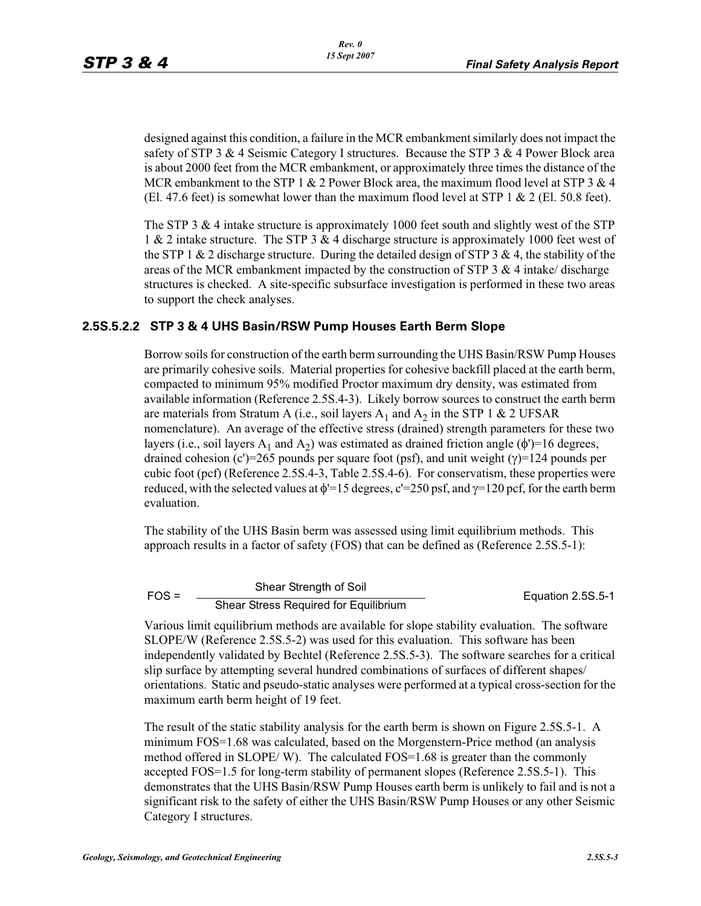designed against this condition, a failure in the MCR embankment similarly does not impact the safety of STP 3  $\&$  4 Seismic Category I structures. Because the STP 3  $\&$  4 Power Block area is about 2000 feet from the MCR embankment, or approximately three times the distance of the MCR embankment to the STP 1 & 2 Power Block area, the maximum flood level at STP 3 & 4 (El. 47.6 feet) is somewhat lower than the maximum flood level at STP 1  $\&$  2 (El. 50.8 feet).

The STP 3  $\&$  4 intake structure is approximately 1000 feet south and slightly west of the STP 1 & 2 intake structure. The STP 3 & 4 discharge structure is approximately 1000 feet west of the STP 1  $\&$  2 discharge structure. During the detailed design of STP 3  $\&$  4, the stability of the areas of the MCR embankment impacted by the construction of STP 3  $\&$  4 intake/ discharge structures is checked. A site-specific subsurface investigation is performed in these two areas to support the check analyses.

#### **2.5S.5.2.2 STP 3 & 4 UHS Basin/RSW Pump Houses Earth Berm Slope**

Borrow soils for construction of the earth berm surrounding the UHS Basin/RSW Pump Houses are primarily cohesive soils. Material properties for cohesive backfill placed at the earth berm, compacted to minimum 95% modified Proctor maximum dry density, was estimated from available information (Reference 2.5S.4-3). Likely borrow sources to construct the earth berm are materials from Stratum A (i.e., soil layers  $A_1$  and  $A_2$  in the STP 1 & 2 UFSAR nomenclature). An average of the effective stress (drained) strength parameters for these two layers (i.e., soil layers  $A_1$  and  $A_2$ ) was estimated as drained friction angle ( $\phi$ ')=16 degrees, drained cohesion (c')=265 pounds per square foot (psf), and unit weight ( $\gamma$ )=124 pounds per cubic foot (pcf) (Reference 2.5S.4-3, Table 2.5S.4-6). For conservatism, these properties were reduced, with the selected values at  $\phi$ <sup>'=15</sup> degrees, c'<sup>=250</sup> psf, and  $\gamma$ =120 pcf, for the earth berm evaluation.

The stability of the UHS Basin berm was assessed using limit equilibrium methods. This approach results in a factor of safety (FOS) that can be defined as (Reference 2.5S.5-1):

| $FOS =$ | Shear Strength of Soil                | Equation 2.5S.5-1 |
|---------|---------------------------------------|-------------------|
|         | Shear Stress Required for Equilibrium |                   |

Various limit equilibrium methods are available for slope stability evaluation. The software SLOPE/W (Reference 2.5S.5-2) was used for this evaluation. This software has been independently validated by Bechtel (Reference 2.5S.5-3). The software searches for a critical slip surface by attempting several hundred combinations of surfaces of different shapes/ orientations. Static and pseudo-static analyses were performed at a typical cross-section for the maximum earth berm height of 19 feet.

The result of the static stability analysis for the earth berm is shown on Figure 2.5S.5-1. A minimum FOS=1.68 was calculated, based on the Morgenstern-Price method (an analysis method offered in  $SLOPE/W$ ). The calculated  $FOS=1.68$  is greater than the commonly accepted FOS=1.5 for long-term stability of permanent slopes (Reference 2.5S.5-1). This demonstrates that the UHS Basin/RSW Pump Houses earth berm is unlikely to fail and is not a significant risk to the safety of either the UHS Basin/RSW Pump Houses or any other Seismic Category I structures.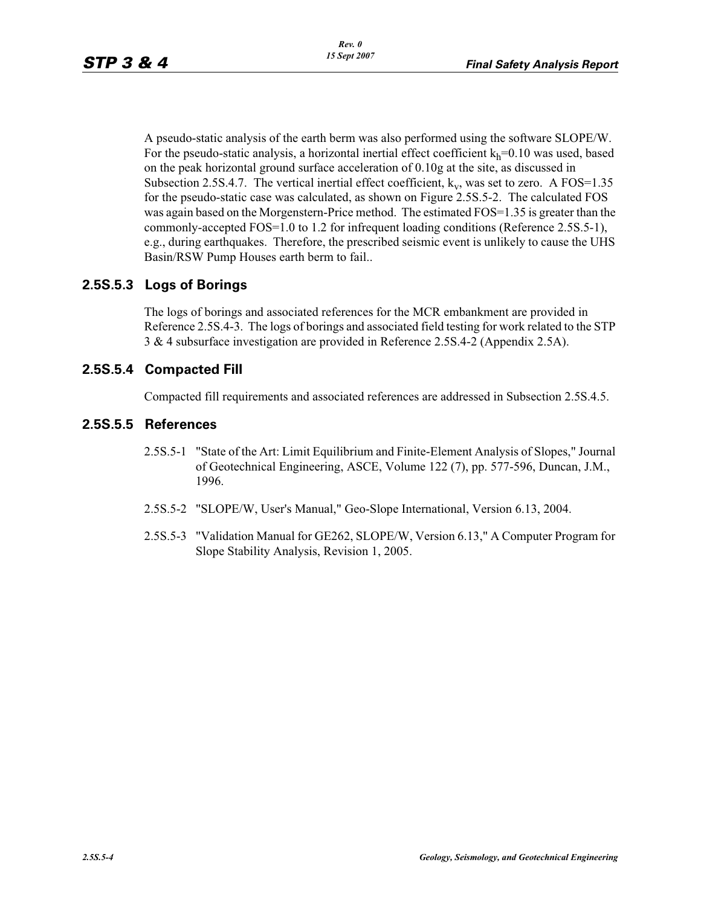A pseudo-static analysis of the earth berm was also performed using the software SLOPE/W. For the pseudo-static analysis, a horizontal inertial effect coefficient  $k_h$ =0.10 was used, based on the peak horizontal ground surface acceleration of 0.10g at the site, as discussed in Subsection 2.5S.4.7. The vertical inertial effect coefficient,  $k_v$ , was set to zero. A FOS=1.35 for the pseudo-static case was calculated, as shown on Figure 2.5S.5-2. The calculated FOS was again based on the Morgenstern-Price method. The estimated FOS=1.35 is greater than the commonly-accepted FOS=1.0 to 1.2 for infrequent loading conditions (Reference 2.5S.5-1), e.g., during earthquakes. Therefore, the prescribed seismic event is unlikely to cause the UHS Basin/RSW Pump Houses earth berm to fail..

## **2.5S.5.3 Logs of Borings**

The logs of borings and associated references for the MCR embankment are provided in Reference 2.5S.4-3. The logs of borings and associated field testing for work related to the STP 3 & 4 subsurface investigation are provided in Reference 2.5S.4-2 (Appendix 2.5A).

## **2.5S.5.4 Compacted Fill**

Compacted fill requirements and associated references are addressed in Subsection 2.5S.4.5.

#### **2.5S.5.5 References**

- 2.5S.5-1 "State of the Art: Limit Equilibrium and Finite-Element Analysis of Slopes," Journal of Geotechnical Engineering, ASCE, Volume 122 (7), pp. 577-596, Duncan, J.M., 1996.
- 2.5S.5-2 "SLOPE/W, User's Manual," Geo-Slope International, Version 6.13, 2004.
- 2.5S.5-3 "Validation Manual for GE262, SLOPE/W, Version 6.13," A Computer Program for Slope Stability Analysis, Revision 1, 2005.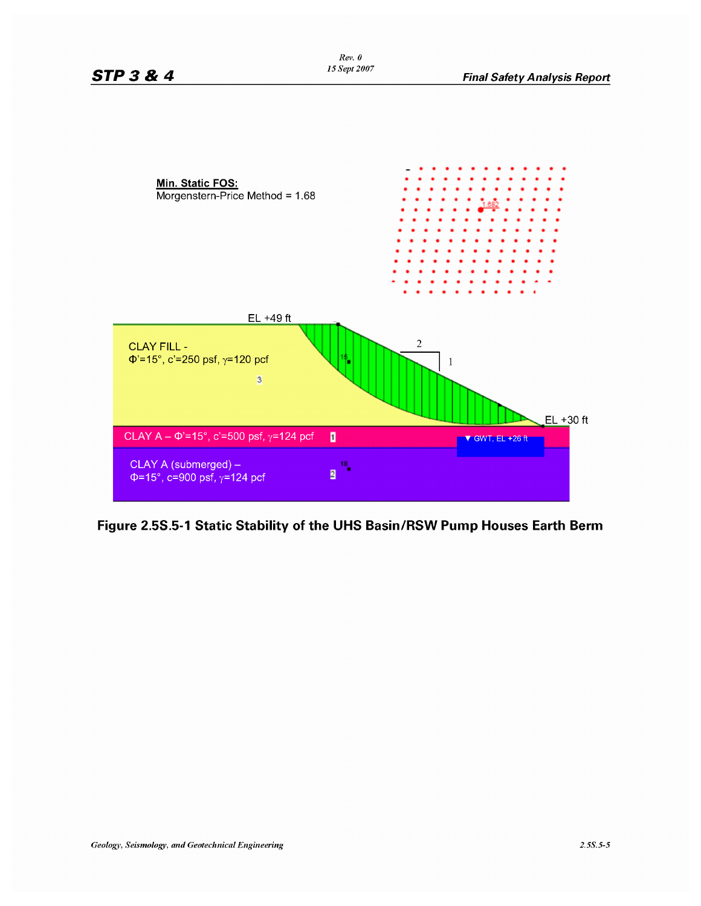

**Figure 2.55.5-1 Static Stability of the UHS Basin/RSW Pump Houses Earth Berm**